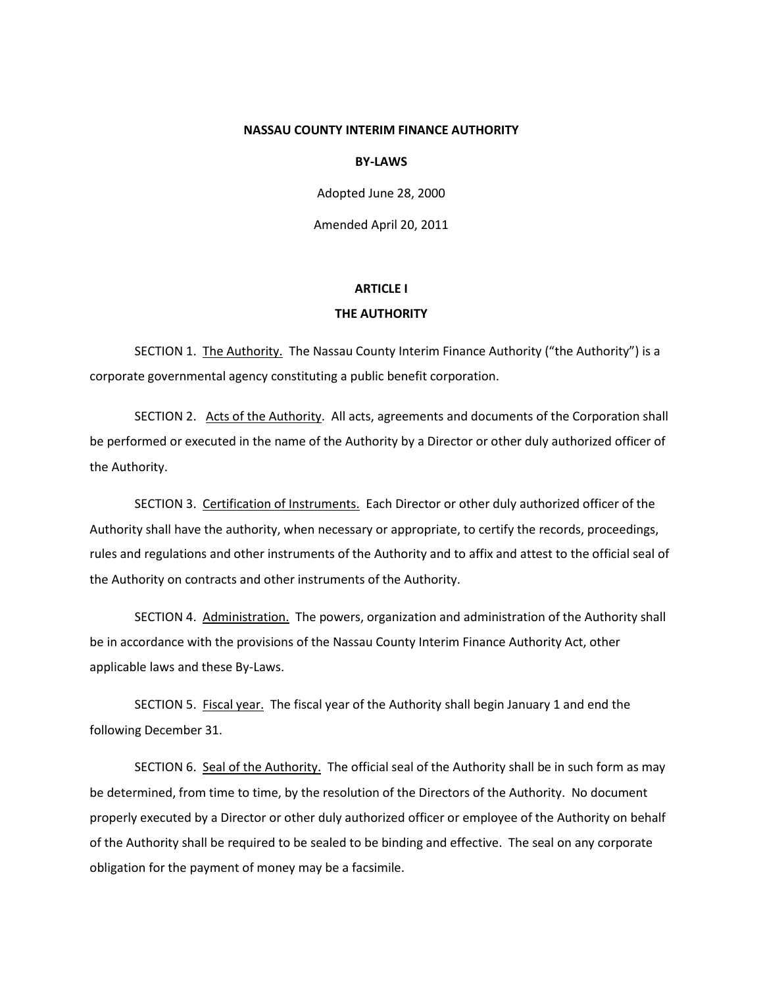## **NASSAU COUNTY INTERIM FINANCE AUTHORITY**

#### **BY-LAWS**

Adopted June 28, 2000

Amended April 20, 2011

#### **ARTICLE I**

#### **THE AUTHORITY**

SECTION 1. The Authority. The Nassau County Interim Finance Authority ("the Authority") is a corporate governmental agency constituting a public benefit corporation.

SECTION 2. Acts of the Authority. All acts, agreements and documents of the Corporation shall be performed or executed in the name of the Authority by a Director or other duly authorized officer of the Authority.

SECTION 3. Certification of Instruments. Each Director or other duly authorized officer of the Authority shall have the authority, when necessary or appropriate, to certify the records, proceedings, rules and regulations and other instruments of the Authority and to affix and attest to the official seal of the Authority on contracts and other instruments of the Authority.

SECTION 4. Administration. The powers, organization and administration of the Authority shall be in accordance with the provisions of the Nassau County Interim Finance Authority Act, other applicable laws and these By-Laws.

SECTION 5. Fiscal year. The fiscal year of the Authority shall begin January 1 and end the following December 31.

SECTION 6. Seal of the Authority. The official seal of the Authority shall be in such form as may be determined, from time to time, by the resolution of the Directors of the Authority. No document properly executed by a Director or other duly authorized officer or employee of the Authority on behalf of the Authority shall be required to be sealed to be binding and effective. The seal on any corporate obligation for the payment of money may be a facsimile.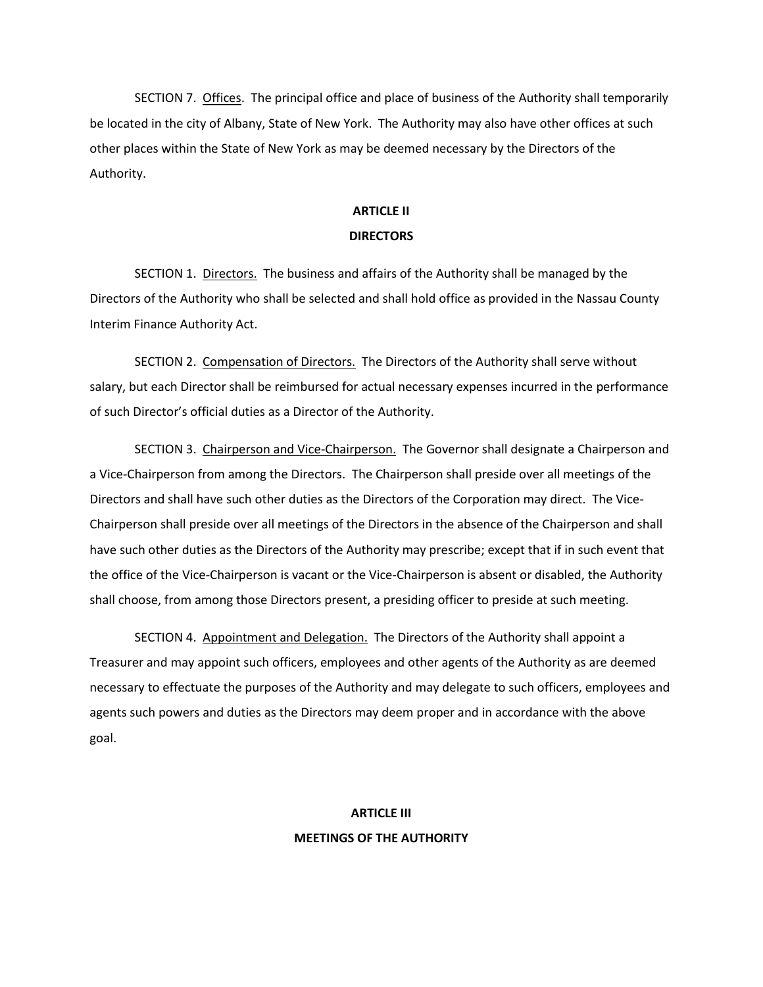SECTION 7. Offices. The principal office and place of business of the Authority shall temporarily be located in the city of Albany, State of New York. The Authority may also have other offices at such other places within the State of New York as may be deemed necessary by the Directors of the Authority.

# **ARTICLE II DIRECTORS**

SECTION 1. Directors. The business and affairs of the Authority shall be managed by the Directors of the Authority who shall be selected and shall hold office as provided in the Nassau County Interim Finance Authority Act.

SECTION 2. Compensation of Directors. The Directors of the Authority shall serve without salary, but each Director shall be reimbursed for actual necessary expenses incurred in the performance of such Director's official duties as a Director of the Authority.

SECTION 3. Chairperson and Vice-Chairperson. The Governor shall designate a Chairperson and a Vice-Chairperson from among the Directors. The Chairperson shall preside over all meetings of the Directors and shall have such other duties as the Directors of the Corporation may direct. The Vice-Chairperson shall preside over all meetings of the Directors in the absence of the Chairperson and shall have such other duties as the Directors of the Authority may prescribe; except that if in such event that the office of the Vice-Chairperson is vacant or the Vice-Chairperson is absent or disabled, the Authority shall choose, from among those Directors present, a presiding officer to preside at such meeting.

SECTION 4. Appointment and Delegation. The Directors of the Authority shall appoint a Treasurer and may appoint such officers, employees and other agents of the Authority as are deemed necessary to effectuate the purposes of the Authority and may delegate to such officers, employees and agents such powers and duties as the Directors may deem proper and in accordance with the above goal.

# **ARTICLE III MEETINGS OF THE AUTHORITY**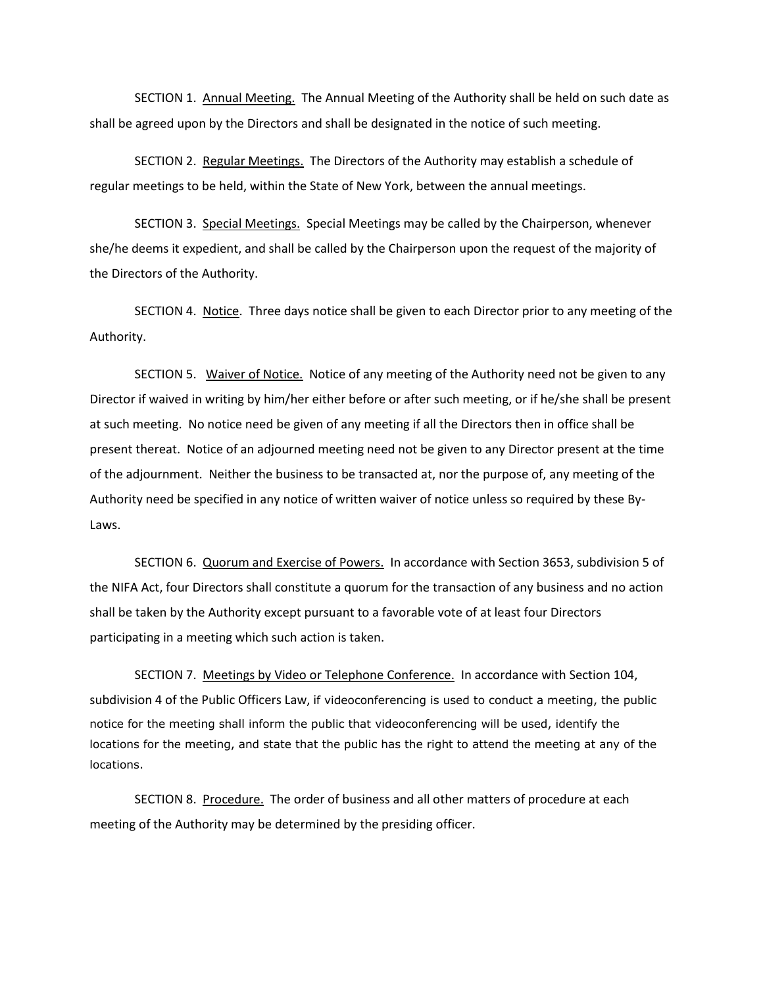SECTION 1. Annual Meeting. The Annual Meeting of the Authority shall be held on such date as shall be agreed upon by the Directors and shall be designated in the notice of such meeting.

SECTION 2. Regular Meetings. The Directors of the Authority may establish a schedule of regular meetings to be held, within the State of New York, between the annual meetings.

SECTION 3. Special Meetings. Special Meetings may be called by the Chairperson, whenever she/he deems it expedient, and shall be called by the Chairperson upon the request of the majority of the Directors of the Authority.

SECTION 4. Notice. Three days notice shall be given to each Director prior to any meeting of the Authority.

SECTION 5. Waiver of Notice. Notice of any meeting of the Authority need not be given to any Director if waived in writing by him/her either before or after such meeting, or if he/she shall be present at such meeting. No notice need be given of any meeting if all the Directors then in office shall be present thereat. Notice of an adjourned meeting need not be given to any Director present at the time of the adjournment. Neither the business to be transacted at, nor the purpose of, any meeting of the Authority need be specified in any notice of written waiver of notice unless so required by these By-Laws.

SECTION 6. Quorum and Exercise of Powers. In accordance with Section 3653, subdivision 5 of the NIFA Act, four Directors shall constitute a quorum for the transaction of any business and no action shall be taken by the Authority except pursuant to a favorable vote of at least four Directors participating in a meeting which such action is taken.

SECTION 7. Meetings by Video or Telephone Conference. In accordance with Section 104, subdivision 4 of the Public Officers Law, if videoconferencing is used to conduct a meeting, the public notice for the meeting shall inform the public that videoconferencing will be used, identify the locations for the meeting, and state that the public has the right to attend the meeting at any of the locations.

SECTION 8. Procedure. The order of business and all other matters of procedure at each meeting of the Authority may be determined by the presiding officer.